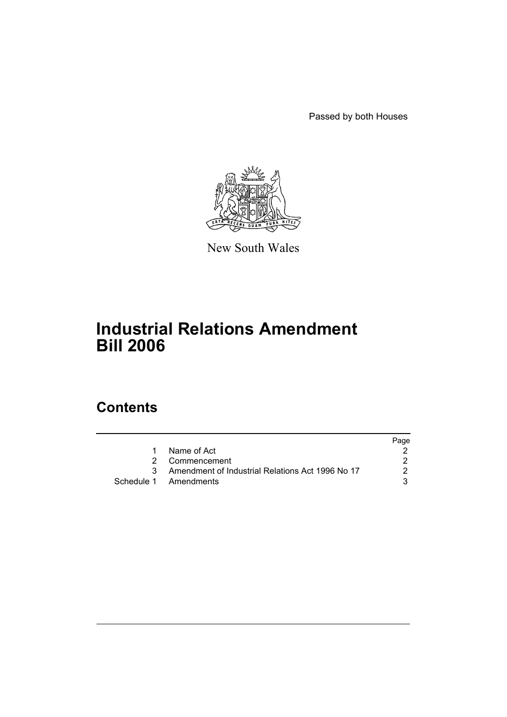Passed by both Houses



New South Wales

# **Industrial Relations Amendment Bill 2006**

# **Contents**

|    |                                                    | Page |
|----|----------------------------------------------------|------|
| 1. | Name of Act                                        |      |
|    | 2 Commencement                                     |      |
|    | 3 Amendment of Industrial Relations Act 1996 No 17 | 2    |
|    | Schedule 1 Amendments                              | 3    |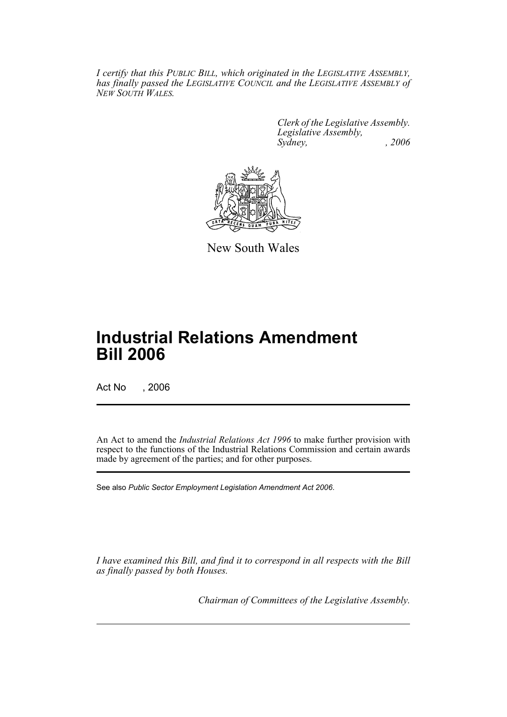*I certify that this PUBLIC BILL, which originated in the LEGISLATIVE ASSEMBLY, has finally passed the LEGISLATIVE COUNCIL and the LEGISLATIVE ASSEMBLY of NEW SOUTH WALES.*

> *Clerk of the Legislative Assembly. Legislative Assembly, Sydney, , 2006*



New South Wales

# **Industrial Relations Amendment Bill 2006**

Act No , 2006

An Act to amend the *Industrial Relations Act 1996* to make further provision with respect to the functions of the Industrial Relations Commission and certain awards made by agreement of the parties; and for other purposes.

See also *Public Sector Employment Legislation Amendment Act 2006*.

*I have examined this Bill, and find it to correspond in all respects with the Bill as finally passed by both Houses.*

*Chairman of Committees of the Legislative Assembly.*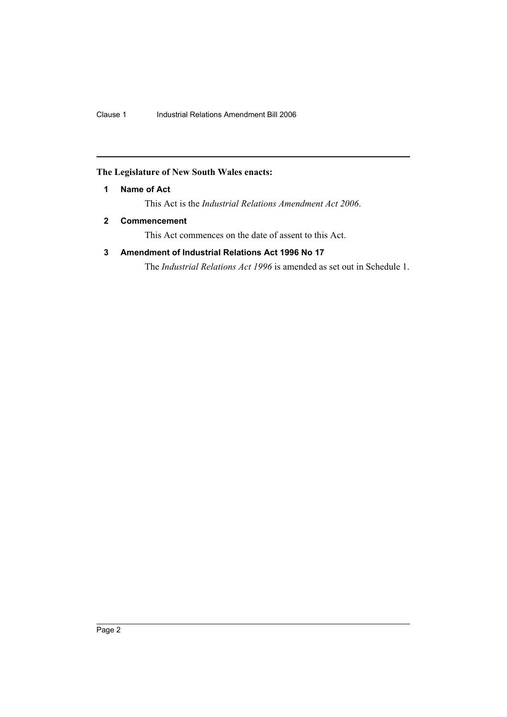## <span id="page-2-0"></span>**The Legislature of New South Wales enacts:**

## **1 Name of Act**

This Act is the *Industrial Relations Amendment Act 2006*.

## <span id="page-2-1"></span>**2 Commencement**

This Act commences on the date of assent to this Act.

## <span id="page-2-2"></span>**3 Amendment of Industrial Relations Act 1996 No 17**

The *Industrial Relations Act 1996* is amended as set out in Schedule 1.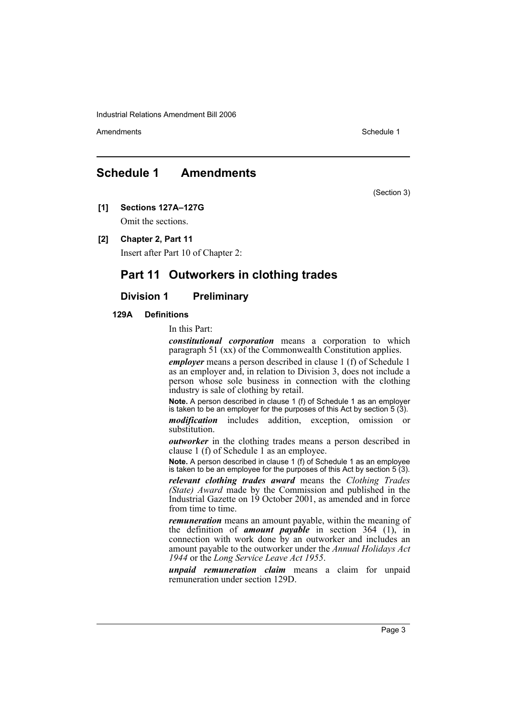Amendments **Amendments** Schedule 1

## <span id="page-3-0"></span>**Schedule 1 Amendments**

(Section 3)

**[1] Sections 127A–127G**

Omit the sections.

**[2] Chapter 2, Part 11**

Insert after Part 10 of Chapter 2:

## **Part 11 Outworkers in clothing trades**

## **Division 1 Preliminary**

#### **129A Definitions**

In this Part:

*constitutional corporation* means a corporation to which paragraph 51 (xx) of the Commonwealth Constitution applies.

*employer* means a person described in clause 1 (f) of Schedule 1 as an employer and, in relation to Division 3, does not include a person whose sole business in connection with the clothing industry is sale of clothing by retail.

**Note.** A person described in clause 1 (f) of Schedule 1 as an employer is taken to be an employer for the purposes of this Act by section 5 (3).

*modification* includes addition, exception, omission or substitution.

*outworker* in the clothing trades means a person described in clause 1 (f) of Schedule 1 as an employee.

**Note.** A person described in clause 1 (f) of Schedule 1 as an employee is taken to be an employee for the purposes of this Act by section 5 (3).

*relevant clothing trades award* means the *Clothing Trades (State) Award* made by the Commission and published in the Industrial Gazette on 19 October 2001, as amended and in force from time to time.

*remuneration* means an amount payable, within the meaning of the definition of *amount payable* in section 364 (1), in connection with work done by an outworker and includes an amount payable to the outworker under the *Annual Holidays Act 1944* or the *Long Service Leave Act 1955*.

*unpaid remuneration claim* means a claim for unpaid remuneration under section 129D.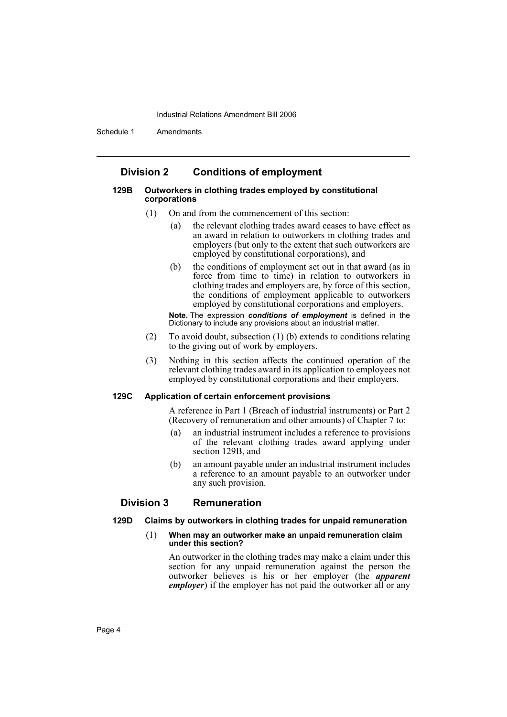Schedule 1 Amendments

## **Division 2 Conditions of employment**

#### **129B Outworkers in clothing trades employed by constitutional corporations**

- (1) On and from the commencement of this section:
	- (a) the relevant clothing trades award ceases to have effect as an award in relation to outworkers in clothing trades and employers (but only to the extent that such outworkers are employed by constitutional corporations), and
	- (b) the conditions of employment set out in that award (as in force from time to time) in relation to outworkers in clothing trades and employers are, by force of this section, the conditions of employment applicable to outworkers employed by constitutional corporations and employers.

**Note.** The expression *conditions of employment* is defined in the Dictionary to include any provisions about an industrial matter.

- (2) To avoid doubt, subsection (1) (b) extends to conditions relating to the giving out of work by employers.
- (3) Nothing in this section affects the continued operation of the relevant clothing trades award in its application to employees not employed by constitutional corporations and their employers.

#### **129C Application of certain enforcement provisions**

A reference in Part 1 (Breach of industrial instruments) or Part 2 (Recovery of remuneration and other amounts) of Chapter 7 to:

- (a) an industrial instrument includes a reference to provisions of the relevant clothing trades award applying under section 129B, and
- (b) an amount payable under an industrial instrument includes a reference to an amount payable to an outworker under any such provision.

## **Division 3 Remuneration**

#### **129D Claims by outworkers in clothing trades for unpaid remuneration**

#### (1) **When may an outworker make an unpaid remuneration claim under this section?**

An outworker in the clothing trades may make a claim under this section for any unpaid remuneration against the person the outworker believes is his or her employer (the *apparent employer*) if the employer has not paid the outworker all or any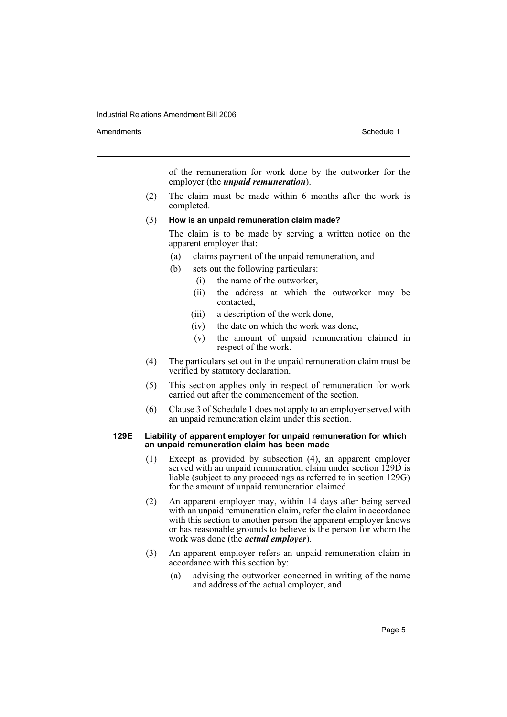Amendments **Amendments** Schedule 1

of the remuneration for work done by the outworker for the employer (the *unpaid remuneration*).

(2) The claim must be made within 6 months after the work is completed.

#### (3) **How is an unpaid remuneration claim made?**

The claim is to be made by serving a written notice on the apparent employer that:

- (a) claims payment of the unpaid remuneration, and
- (b) sets out the following particulars:
	- (i) the name of the outworker,
		- (ii) the address at which the outworker may be contacted,
	- (iii) a description of the work done,
	- (iv) the date on which the work was done,
	- (v) the amount of unpaid remuneration claimed in respect of the work.
- (4) The particulars set out in the unpaid remuneration claim must be verified by statutory declaration.
- (5) This section applies only in respect of remuneration for work carried out after the commencement of the section.
- (6) Clause 3 of Schedule 1 does not apply to an employer served with an unpaid remuneration claim under this section.

#### **129E Liability of apparent employer for unpaid remuneration for which an unpaid remuneration claim has been made**

- (1) Except as provided by subsection (4), an apparent employer served with an unpaid remuneration claim under section 129D is liable (subject to any proceedings as referred to in section 129G) for the amount of unpaid remuneration claimed.
- (2) An apparent employer may, within 14 days after being served with an unpaid remuneration claim, refer the claim in accordance with this section to another person the apparent employer knows or has reasonable grounds to believe is the person for whom the work was done (the *actual employer*).
- (3) An apparent employer refers an unpaid remuneration claim in accordance with this section by:
	- (a) advising the outworker concerned in writing of the name and address of the actual employer, and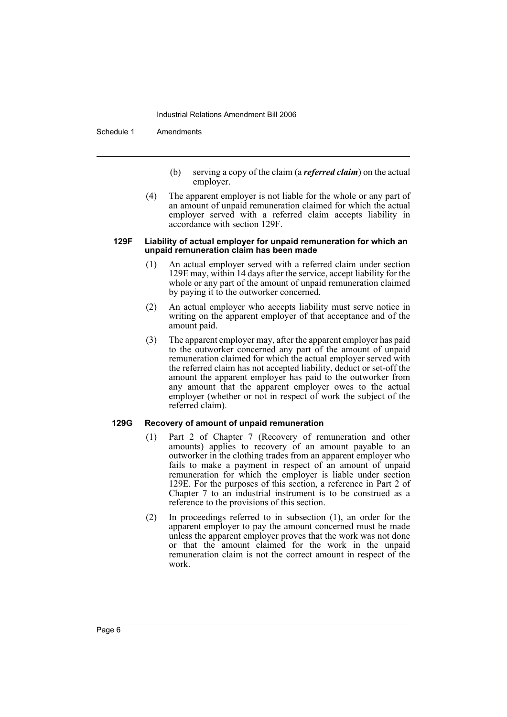Schedule 1 Amendments

- (b) serving a copy of the claim (a *referred claim*) on the actual employer.
- (4) The apparent employer is not liable for the whole or any part of an amount of unpaid remuneration claimed for which the actual employer served with a referred claim accepts liability in accordance with section 129F.

#### **129F Liability of actual employer for unpaid remuneration for which an unpaid remuneration claim has been made**

- (1) An actual employer served with a referred claim under section 129E may, within 14 days after the service, accept liability for the whole or any part of the amount of unpaid remuneration claimed by paying it to the outworker concerned.
- (2) An actual employer who accepts liability must serve notice in writing on the apparent employer of that acceptance and of the amount paid.
- (3) The apparent employer may, after the apparent employer has paid to the outworker concerned any part of the amount of unpaid remuneration claimed for which the actual employer served with the referred claim has not accepted liability, deduct or set-off the amount the apparent employer has paid to the outworker from any amount that the apparent employer owes to the actual employer (whether or not in respect of work the subject of the referred claim).

#### **129G Recovery of amount of unpaid remuneration**

- (1) Part 2 of Chapter 7 (Recovery of remuneration and other amounts) applies to recovery of an amount payable to an outworker in the clothing trades from an apparent employer who fails to make a payment in respect of an amount of unpaid remuneration for which the employer is liable under section 129E. For the purposes of this section, a reference in Part 2 of Chapter 7 to an industrial instrument is to be construed as a reference to the provisions of this section.
- (2) In proceedings referred to in subsection (1), an order for the apparent employer to pay the amount concerned must be made unless the apparent employer proves that the work was not done or that the amount claimed for the work in the unpaid remuneration claim is not the correct amount in respect of the work.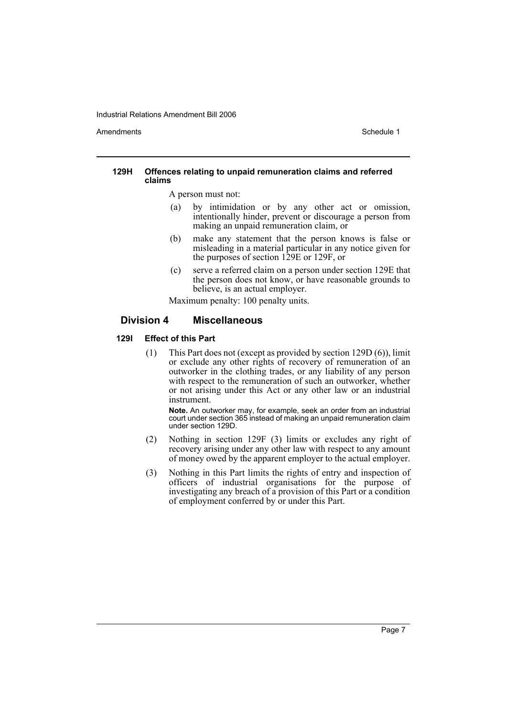Amendments **Schedule 1** and the set of the set of the set of the set of the set of the set of the set of the set of the set of the set of the set of the set of the set of the set of the set of the set of the set of the set

#### **129H Offences relating to unpaid remuneration claims and referred claims**

A person must not:

- (a) by intimidation or by any other act or omission, intentionally hinder, prevent or discourage a person from making an unpaid remuneration claim, or
- (b) make any statement that the person knows is false or misleading in a material particular in any notice given for the purposes of section 129E or 129F, or
- (c) serve a referred claim on a person under section 129E that the person does not know, or have reasonable grounds to believe, is an actual employer.

Maximum penalty: 100 penalty units.

## **Division 4 Miscellaneous**

#### **129I Effect of this Part**

(1) This Part does not (except as provided by section 129D (6)), limit or exclude any other rights of recovery of remuneration of an outworker in the clothing trades, or any liability of any person with respect to the remuneration of such an outworker, whether or not arising under this Act or any other law or an industrial instrument.

**Note.** An outworker may, for example, seek an order from an industrial court under section 365 instead of making an unpaid remuneration claim under section 129D.

- (2) Nothing in section 129F (3) limits or excludes any right of recovery arising under any other law with respect to any amount of money owed by the apparent employer to the actual employer.
- (3) Nothing in this Part limits the rights of entry and inspection of officers of industrial organisations for the purpose of investigating any breach of a provision of this Part or a condition of employment conferred by or under this Part.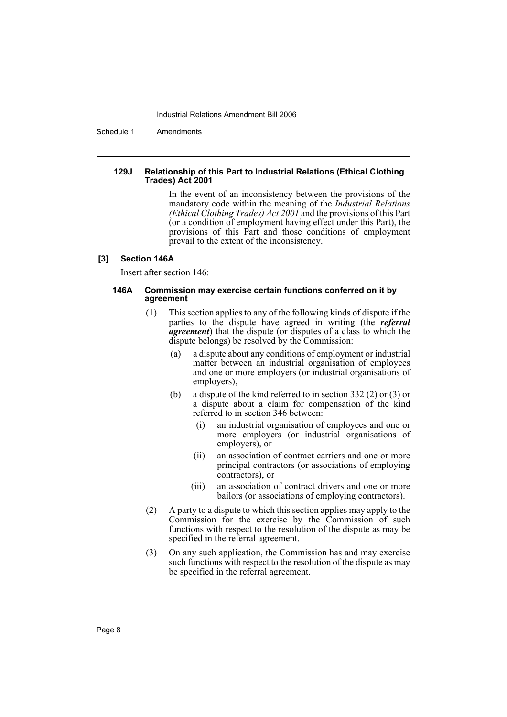Schedule 1 Amendments

#### **129J Relationship of this Part to Industrial Relations (Ethical Clothing Trades) Act 2001**

In the event of an inconsistency between the provisions of the mandatory code within the meaning of the *Industrial Relations (Ethical Clothing Trades) Act 2001* and the provisions of this Part (or a condition of employment having effect under this Part), the provisions of this Part and those conditions of employment prevail to the extent of the inconsistency.

#### **[3] Section 146A**

Insert after section 146:

#### **146A Commission may exercise certain functions conferred on it by agreement**

- (1) This section applies to any of the following kinds of dispute if the parties to the dispute have agreed in writing (the *referral agreement*) that the dispute (or disputes of a class to which the dispute belongs) be resolved by the Commission:
	- (a) a dispute about any conditions of employment or industrial matter between an industrial organisation of employees and one or more employers (or industrial organisations of employers),
	- (b) a dispute of the kind referred to in section 332 (2) or (3) or a dispute about a claim for compensation of the kind referred to in section 346 between:
		- (i) an industrial organisation of employees and one or more employers (or industrial organisations of employers), or
		- (ii) an association of contract carriers and one or more principal contractors (or associations of employing contractors), or
		- (iii) an association of contract drivers and one or more bailors (or associations of employing contractors).
- (2) A party to a dispute to which this section applies may apply to the Commission for the exercise by the Commission of such functions with respect to the resolution of the dispute as may be specified in the referral agreement.
- (3) On any such application, the Commission has and may exercise such functions with respect to the resolution of the dispute as may be specified in the referral agreement.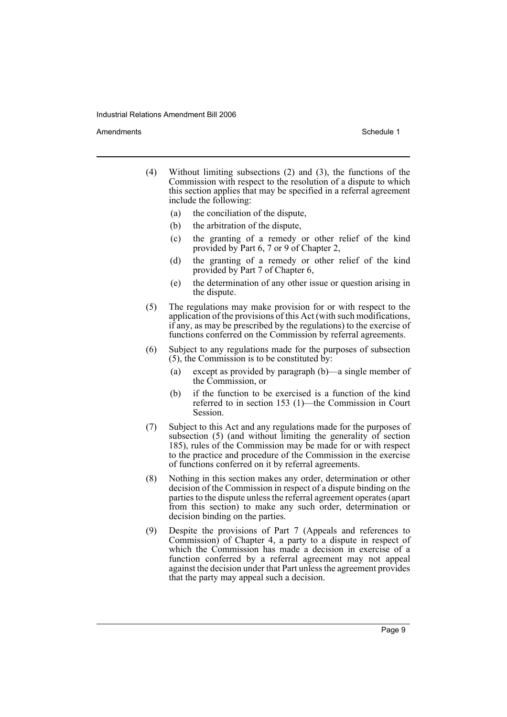Amendments **Amendments** Schedule 1

- (4) Without limiting subsections (2) and (3), the functions of the Commission with respect to the resolution of a dispute to which this section applies that may be specified in a referral agreement include the following:
	- (a) the conciliation of the dispute,
	- (b) the arbitration of the dispute,
	- (c) the granting of a remedy or other relief of the kind provided by Part 6, 7 or 9 of Chapter 2,
	- (d) the granting of a remedy or other relief of the kind provided by Part 7 of Chapter 6,
	- (e) the determination of any other issue or question arising in the dispute.
- (5) The regulations may make provision for or with respect to the application of the provisions of this Act (with such modifications, if any, as may be prescribed by the regulations) to the exercise of functions conferred on the Commission by referral agreements.
- (6) Subject to any regulations made for the purposes of subsection (5), the Commission is to be constituted by:
	- (a) except as provided by paragraph (b)—a single member of the Commission, or
	- (b) if the function to be exercised is a function of the kind referred to in section 153 (1)—the Commission in Court Session.
- (7) Subject to this Act and any regulations made for the purposes of subsection  $(5)$  (and without limiting the generality of section 185), rules of the Commission may be made for or with respect to the practice and procedure of the Commission in the exercise of functions conferred on it by referral agreements.
- (8) Nothing in this section makes any order, determination or other decision of the Commission in respect of a dispute binding on the parties to the dispute unless the referral agreement operates (apart from this section) to make any such order, determination or decision binding on the parties.
- (9) Despite the provisions of Part 7 (Appeals and references to Commission) of Chapter 4, a party to a dispute in respect of which the Commission has made a decision in exercise of a function conferred by a referral agreement may not appeal against the decision under that Part unless the agreement provides that the party may appeal such a decision.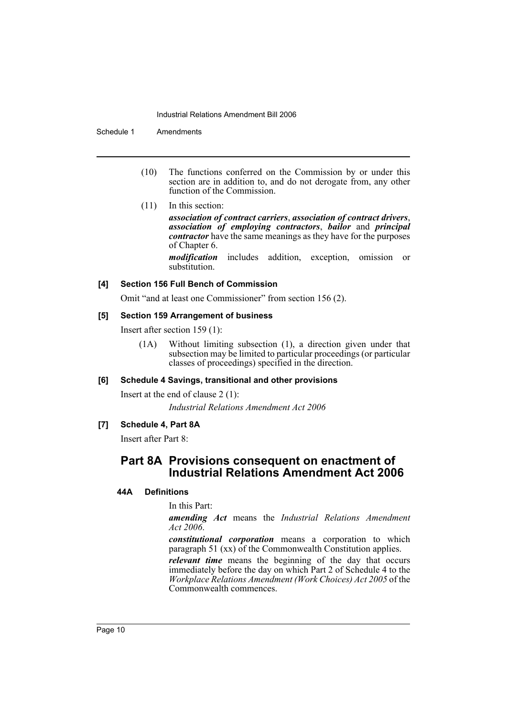Schedule 1 Amendments

- (10) The functions conferred on the Commission by or under this section are in addition to, and do not derogate from, any other function of the Commission.
- (11) In this section:

*association of contract carriers*, *association of contract drivers*, *association of employing contractors*, *bailor* and *principal contractor* have the same meanings as they have for the purposes of Chapter 6.

*modification* includes addition, exception, omission or substitution.

## **[4] Section 156 Full Bench of Commission**

Omit "and at least one Commissioner" from section 156 (2).

## **[5] Section 159 Arrangement of business**

Insert after section 159 (1):

(1A) Without limiting subsection (1), a direction given under that subsection may be limited to particular proceedings (or particular classes of proceedings) specified in the direction.

## **[6] Schedule 4 Savings, transitional and other provisions**

Insert at the end of clause 2 (1): *Industrial Relations Amendment Act 2006*

## **[7] Schedule 4, Part 8A**

Insert after Part 8:

## **Part 8A Provisions consequent on enactment of Industrial Relations Amendment Act 2006**

## **44A Definitions**

In this Part:

*amending Act* means the *Industrial Relations Amendment Act 2006*.

*constitutional corporation* means a corporation to which paragraph 51 (xx) of the Commonwealth Constitution applies.

*relevant time* means the beginning of the day that occurs immediately before the day on which Part 2 of Schedule 4 to the *Workplace Relations Amendment (Work Choices) Act 2005* of the Commonwealth commences.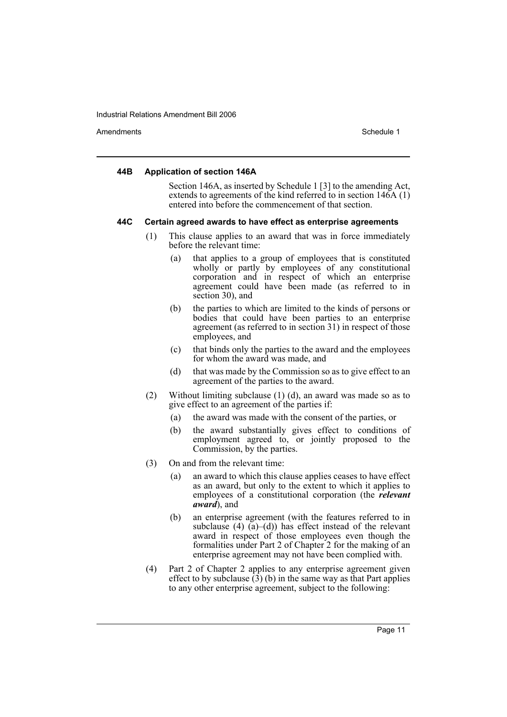Amendments **Amendments** Schedule 1

#### **44B Application of section 146A**

Section 146A, as inserted by Schedule 1 [3] to the amending Act, extends to agreements of the kind referred to in section  $146A(1)$ entered into before the commencement of that section.

#### **44C Certain agreed awards to have effect as enterprise agreements**

- (1) This clause applies to an award that was in force immediately before the relevant time:
	- (a) that applies to a group of employees that is constituted wholly or partly by employees of any constitutional corporation and in respect of which an enterprise agreement could have been made (as referred to in section 30), and
	- (b) the parties to which are limited to the kinds of persons or bodies that could have been parties to an enterprise agreement (as referred to in section 31) in respect of those employees, and
	- (c) that binds only the parties to the award and the employees for whom the award was made, and
	- (d) that was made by the Commission so as to give effect to an agreement of the parties to the award.
- (2) Without limiting subclause (1) (d), an award was made so as to give effect to an agreement of the parties if:
	- (a) the award was made with the consent of the parties, or
	- (b) the award substantially gives effect to conditions of employment agreed to, or jointly proposed to the Commission, by the parties.
- (3) On and from the relevant time:
	- (a) an award to which this clause applies ceases to have effect as an award, but only to the extent to which it applies to employees of a constitutional corporation (the *relevant award*), and
	- (b) an enterprise agreement (with the features referred to in subclause (4)  $\tilde{a}$ )–(d)) has effect instead of the relevant award in respect of those employees even though the formalities under Part 2 of Chapter 2 for the making of an enterprise agreement may not have been complied with.
- (4) Part 2 of Chapter 2 applies to any enterprise agreement given effect to by subclause  $(\overline{3})$  (b) in the same way as that Part applies to any other enterprise agreement, subject to the following: